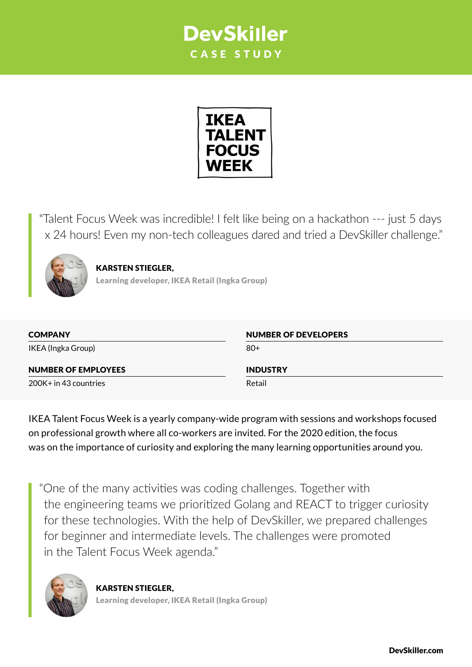## **DevSkiller** CASE STUDY



"Talent Focus Week was incredible! I felt like being on a hackathon --- just 5 days x 24 hours! Even my non-tech colleagues dared and tried a DevSkiller challenge."



KARSTEN STIEGLER, Learning developer, IKEA Retail (Ingka Group)

| <b>COMPANY</b>             | <b>NUMBER OF DEVELOPERS</b> |
|----------------------------|-----------------------------|
| IKEA (Ingka Group)         | $80+$                       |
| <b>NUMBER OF EMPLOYEES</b> | <b>INDUSTRY</b>             |
| $200K + in 43$ countries   | Retail                      |

IKEA Talent Focus Week is a yearly company-wide program with sessions and workshops focused on professional growth where all co-workers are invited. For the 2020 edition, the focus was on the importance of curiosity and exploring the many learning opportunities around you.

"One of the many activities was coding challenges. Together with the engineering teams we prioritized Golang and REACT to trigger curiosity for these technologies. With the help of DevSkiller, we prepared challenges for beginner and intermediate levels. The challenges were promoted in the Talent Focus Week agenda."



KARSTEN STIEGLER, Learning developer, IKEA Retail (Ingka Group)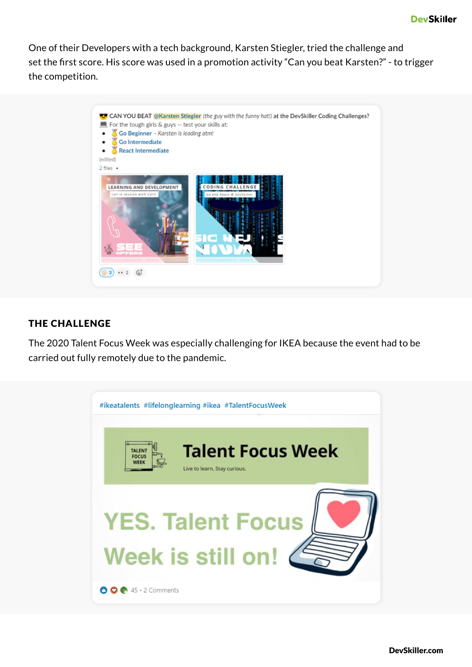One of their Developers with a tech background, Karsten Stiegler, tried the challenge and set the first score. His score was used in a promotion activity "Can you beat Karsten?" - to trigger the competition.



## THE CHALLENGE

The 2020 Talent Focus Week was especially challenging for IKEA because the event had to be carried out fully remotely due to the pandemic.